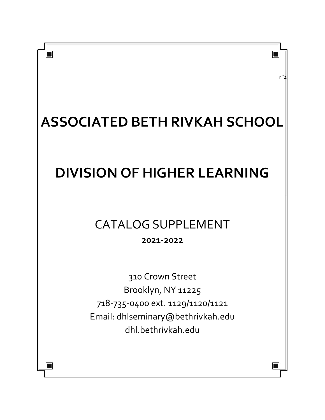# **ASSOCIATED BETH RIVKAH SCHOOL**

ב''ה

## **DIVISION OF HIGHER LEARNING**

### CATALOG SUPPLEMENT

**2021-2022**

310 Crown Street Brooklyn, NY 11225 718-735-0400 ext. 1129/1120/1121 Email: dhlseminary@bethrivkah.edu dhl.bethrivkah.edu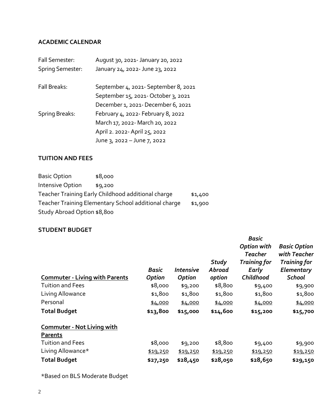#### **ACADEMIC CALENDAR**

| Fall Semester:          | August 30, 2021- January 20, 2022     |  |  |  |  |
|-------------------------|---------------------------------------|--|--|--|--|
| <b>Spring Semester:</b> | January 24, 2022- June 23, 2022       |  |  |  |  |
| Fall Breaks:            | September 4, 2021 - September 8, 2021 |  |  |  |  |
|                         | September 15, 2021- October 3, 2021   |  |  |  |  |
|                         | December 1, 2021- December 6, 2021    |  |  |  |  |
| Spring Breaks:          | February 4, 2022- February 8, 2022    |  |  |  |  |
|                         | March 17, 2022- March 20, 2022        |  |  |  |  |
|                         | April 2. 2022- April 25, 2022         |  |  |  |  |
|                         | June 3, 2022 - June 7, 2022           |  |  |  |  |

#### **TUITION AND FEES**

| <b>Basic Option</b>                                  | \$8,000 |  |
|------------------------------------------------------|---------|--|
| Intensive Option                                     | \$9,200 |  |
| Teacher Training Early Childhood additional charge   |         |  |
| Teacher Training Elementary School additional charge |         |  |
| Study Abroad Option \$8,800                          |         |  |

#### **STUDENT BUDGET**

| <b>Commuter - Living with Parents</b>        | Basic<br><b>Option</b> | <i><b>Intensive</b></i><br><b>Option</b> | Study<br>Abroad<br>option | <b>Basic</b><br><b>Option with</b><br><b>Teacher</b><br><b>Training for</b><br>Early<br>Childhood | <b>Basic Option</b><br>with Teacher<br><b>Training for</b><br>Elementary<br><b>School</b> |
|----------------------------------------------|------------------------|------------------------------------------|---------------------------|---------------------------------------------------------------------------------------------------|-------------------------------------------------------------------------------------------|
| <b>Tuition and Fees</b>                      | \$8,000                | \$9,200                                  | \$8,800                   | \$9,400                                                                                           | \$9,900                                                                                   |
| Living Allowance                             | \$1,800                | \$1,800                                  | \$1,800                   | \$1,800                                                                                           | \$1,800                                                                                   |
| Personal                                     | \$4,000                | \$4,000                                  | \$4,000                   | \$4,000                                                                                           | \$4,000                                                                                   |
| <b>Total Budget</b>                          | \$13,800               | \$15,000                                 | \$14,600                  | \$15,200                                                                                          | \$15,700                                                                                  |
| <b>Commuter - Not Living with</b><br>Parents |                        |                                          |                           |                                                                                                   |                                                                                           |
| <b>Tuition and Fees</b>                      | \$8,000                | \$9,200                                  | \$8,800                   | \$9,400                                                                                           | \$9,900                                                                                   |
| Living Allowance*                            | \$19,250               | \$19,250                                 | \$19,250                  | \$19,250                                                                                          | \$19,250                                                                                  |
| <b>Total Budget</b>                          | \$27,250               | \$28,450                                 | \$28,050                  | \$28,650                                                                                          | \$29,150                                                                                  |

\*Based on BLS Moderate Budget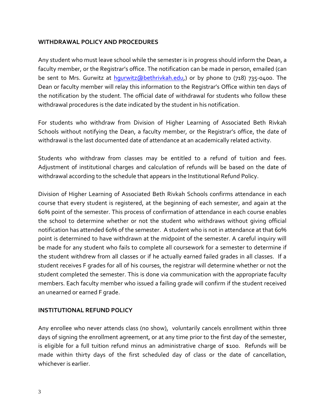#### **WITHDRAWAL POLICY AND PROCEDURES**

Any student who must leave school while the semester is in progress should inform the Dean, a faculty member, or the Registrar's office. The notification can be made in person, emailed (can be sent to Mrs. Gurwitz at hourwitz@bethrivkah.edu,) or by phone to (718) 735-0400. The Dean or faculty member will relay this information to the Registrar's Office within ten days of the notification by the student. The official date of withdrawal for students who follow these withdrawal procedures is the date indicated by the student in his notification.

For students who withdraw from Division of Higher Learning of Associated Beth Rivkah Schools without notifying the Dean, a faculty member, or the Registrar's office, the date of withdrawal is the last documented date of attendance at an academically related activity.

Students who withdraw from classes may be entitled to a refund of tuition and fees. Adjustment of institutional charges and calculation of refunds will be based on the date of withdrawal according to the schedule that appears in the Institutional Refund Policy.

Division of Higher Learning of Associated Beth Rivkah Schools confirms attendance in each course that every student is registered, at the beginning of each semester, and again at the 60% point of the semester. This process of confirmation of attendance in each course enables the school to determine whether or not the student who withdraws without giving official notification has attended 60% of the semester. A student who is not in attendance at that 60% point is determined to have withdrawn at the midpoint of the semester. A careful inquiry will be made for any student who fails to complete all coursework for a semester to determine if the student withdrew from all classes or if he actually earned failed grades in all classes. If a student receives F grades for all of his courses, the registrar will determine whether or not the student completed the semester. This is done via communication with the appropriate faculty members. Each faculty member who issued a failing grade will confirm if the student received an unearned or earned F grade.

#### **INSTITUTIONAL REFUND POLICY**

Any enrollee who never attends class (no show), voluntarily cancels enrollment within three days of signing the enrollment agreement, or at any time prior to the first day of the semester, is eligible for a full tuition refund minus an administrative charge of \$100. Refunds will be made within thirty days of the first scheduled day of class or the date of cancellation, whichever is earlier.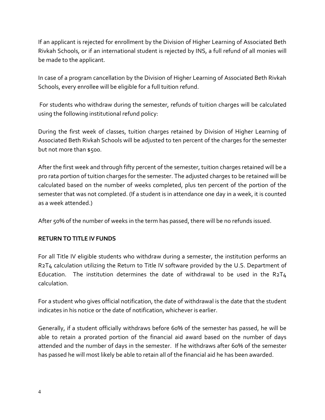If an applicant is rejected for enrollment by the Division of Higher Learning of Associated Beth Rivkah Schools, or if an international student is rejected by INS, a full refund of all monies will be made to the applicant.

In case of a program cancellation by the Division of Higher Learning of Associated Beth Rivkah Schools, every enrollee will be eligible for a full tuition refund.

For students who withdraw during the semester, refunds of tuition charges will be calculated using the following institutional refund policy:

During the first week of classes, tuition charges retained by Division of Higher Learning of Associated Beth Rivkah Schools will be adjusted to ten percent of the charges for the semester but not more than \$500.

After the first week and through fifty percent of the semester, tuition charges retained will be a pro rata portion of tuition charges for the semester. The adjusted charges to be retained will be calculated based on the number of weeks completed, plus ten percent of the portion of the semester that was not completed. (If a student is in attendance one day in a week, it is counted as a week attended.)

After 50% of the number of weeks in the term has passed, there will be no refunds issued.

#### **RETURN TO TITLE IV FUNDS**

For all Title IV eligible students who withdraw during a semester, the institution performs an R2T4 calculation utilizing the Return to Title IV software provided by the U.S. Department of Education. The institution determines the date of withdrawal to be used in the R2T4 calculation.

For a student who gives official notification, the date of withdrawal is the date that the student indicates in his notice or the date of notification, whichever is earlier.

Generally, if a student officially withdraws before 60% of the semester has passed, he will be able to retain a prorated portion of the financial aid award based on the number of days attended and the number of days in the semester. If he withdraws after 60% of the semester has passed he will most likely be able to retain all of the financial aid he has been awarded.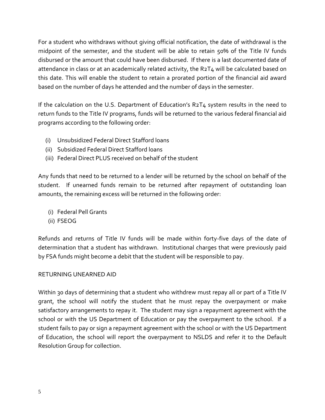For a student who withdraws without giving official notification, the date of withdrawal is the midpoint of the semester, and the student will be able to retain 50% of the Title IV funds disbursed or the amount that could have been disbursed. If there is a last documented date of attendance in class or at an academically related activity, the R2T4 will be calculated based on this date. This will enable the student to retain a prorated portion of the financial aid award based on the number of days he attended and the number of days in the semester.

If the calculation on the U.S. Department of Education's R2T4 system results in the need to return funds to the Title IV programs, funds will be returned to the various federal financial aid programs according to the following order:

- (i) Unsubsidized Federal Direct Stafford loans
- (ii) Subsidized Federal Direct Stafford loans
- (iii) Federal Direct PLUS received on behalf of the student

Any funds that need to be returned to a lender will be returned by the school on behalf of the student. If unearned funds remain to be returned after repayment of outstanding loan amounts, the remaining excess will be returned in the following order:

- (i) Federal Pell Grants
- (ii) FSEOG

Refunds and returns of Title IV funds will be made within forty-five days of the date of determination that a student has withdrawn. Institutional charges that were previously paid by FSA funds might become a debit that the student will be responsible to pay.

#### RETURNING UNEARNED AID

Within 30 days of determining that a student who withdrew must repay all or part of a Title IV grant, the school will notify the student that he must repay the overpayment or make satisfactory arrangements to repay it. The student may sign a repayment agreement with the school or with the US Department of Education or pay the overpayment to the school. If a student fails to pay or sign a repayment agreement with the school or with the US Department of Education, the school will report the overpayment to NSLDS and refer it to the Default Resolution Group for collection.